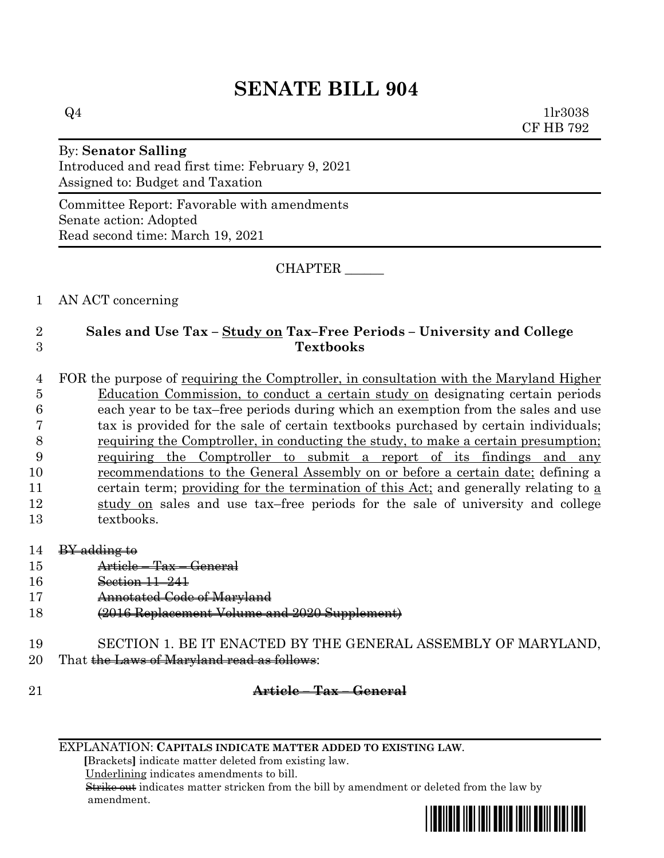# **SENATE BILL 904**

 $Q4$  1lr3038 CF HB 792

## By: **Senator Salling** Introduced and read first time: February 9, 2021 Assigned to: Budget and Taxation

Committee Report: Favorable with amendments Senate action: Adopted Read second time: March 19, 2021

CHAPTER \_\_\_\_\_\_

### 1 AN ACT concerning

# 2 **Sales and Use Tax – Study on Tax–Free Periods – University and College**  3 **Textbooks**

 FOR the purpose of requiring the Comptroller, in consultation with the Maryland Higher Education Commission, to conduct a certain study on designating certain periods each year to be tax–free periods during which an exemption from the sales and use tax is provided for the sale of certain textbooks purchased by certain individuals; requiring the Comptroller, in conducting the study, to make a certain presumption; requiring the Comptroller to submit a report of its findings and any recommendations to the General Assembly on or before a certain date; defining a certain term; providing for the termination of this Act; and generally relating to a 12 study on sales and use tax–free periods for the sale of university and college textbooks.

- $14$  BY adding to
- 15 Article Tax General
- 16 Section 11–241
- 17 Annotated Code of Maryland
- 18 (2016 Replacement Volume and 2020 Supplement)
- 19 SECTION 1. BE IT ENACTED BY THE GENERAL ASSEMBLY OF MARYLAND, 20 That <del>the Laws of Maryland read as follows</del>:
- 

#### 21 **Article – Tax – General**

EXPLANATION: **CAPITALS INDICATE MATTER ADDED TO EXISTING LAW**.

 **[**Brackets**]** indicate matter deleted from existing law.

Underlining indicates amendments to bill.

 Strike out indicates matter stricken from the bill by amendment or deleted from the law by amendment.

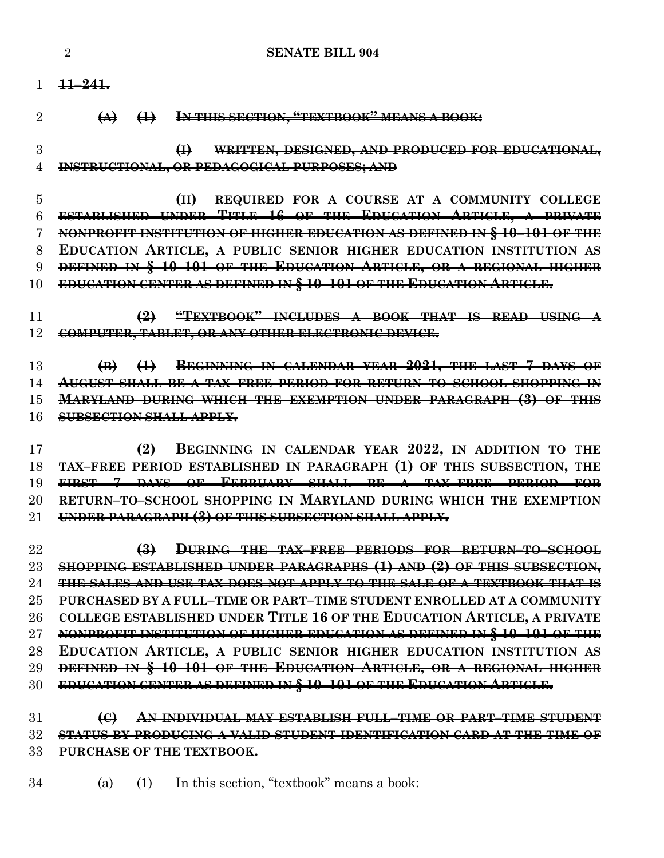|                | $\overline{2}$<br><b>SENATE BILL 904</b>                                               |
|----------------|----------------------------------------------------------------------------------------|
| $\mathbf{1}$   | $\frac{11-241}{2}$                                                                     |
| $\overline{2}$ | $(A)$ $(1)$ IN THIS SECTION, "TEXTBOOK" MEANS A BOOK:                                  |
| 3              | (I) WRITTEN, DESIGNED, AND PRODUCED FOR EDUCATIONAL,                                   |
| 4              | INSTRUCTIONAL, OR PEDAGOGICAL PURPOSES; AND                                            |
| $\overline{5}$ | REQUIRED FOR A COURSE AT A COMMUNITY COLLEGE<br>$\bigoplus$                            |
| 6              | ESTABLISHED UNDER TITLE 16 OF THE EDUCATION ARTICLE, A PRIVATE                         |
| 7              | NONPROFIT INSTITUTION OF HIGHER EDUCATION AS DEFINED IN § 10-101 OF THE                |
| 8              | EDUCATION ARTICLE, A PUBLIC SENIOR HIGHER EDUCATION INSTITUTION AS                     |
| 9              | DEFINED IN § 10-101 OF THE EDUCATION ARTICLE, OR A REGIONAL HIGHER                     |
| 10             | EDUCATION CENTER AS DEFINED IN § 10-101 OF THE EDUCATION ARTICLE.                      |
| 11             | (2) "TEXTBOOK" INCLUDES A BOOK THAT IS READ USING A                                    |
| 12             | COMPUTER, TABLET, OR ANY OTHER ELECTRONIC DEVICE.                                      |
|                |                                                                                        |
| 13             | (1) BEGINNING IN CALENDAR YEAR 2021, THE LAST 7 DAYS OF<br>$\left( \mathbf{B} \right)$ |
| 14             | AUGUST SHALL BE A TAX FREE PERIOD FOR RETURN TO SCHOOL SHOPPING IN                     |
| 15             | MARYLAND DURING WHICH THE EXEMPTION UNDER PARAGRAPH (3) OF THIS                        |
| 16             | <b>SUBSECTION SHALL APPLY.</b>                                                         |
|                |                                                                                        |
| 17             | BEGINNING IN CALENDAR YEAR 2022, IN ADDITION TO THE<br>$\left( \frac{9}{2} \right)$    |
| 18             | TAX-FREE PERIOD ESTABLISHED IN PARAGRAPH (1) OF THIS SUBSECTION, THE                   |
| 19             | FIRST 7 DAVS OF FEBRUARY SHALL BE A TAX-FREE PERIOD FOR                                |
| 20             | RETURN TO SCHOOL SHOPPING IN MARYLAND DURING WHICH THE EXEMPTION                       |
| 21             | UNDER PARAGRAPH (3) OF THIS SUBSECTION SHALL APPLY.                                    |
| 22             | DURING THE TAX-FREE PERIODS FOR RETURN-TO-SCHOOL<br>$\leftrightarrow$                  |
| 23             | SHOPPING ESTABLISHED UNDER PARAGRAPHS (1) AND (2) OF THIS SUBSECTION,                  |
| 24             | <u>THE SALES AND USE TAX DOES NOT APPLY TO THE SALE OF A TEXTBOOK THAT IS</u>          |
| $25\,$         | <u>PURCHASED BY A FULL-TIME OR PART-TIME STUDENT ENROLLED AT A COMMUNITY</u>           |
| 26             | COLLEGE ESTABLISHED UNDER TITLE 16 OF THE EDUCATION ARTICLE, A PRIVATE                 |
| $\rm 27$       | NONPROFIT INSTITUTION OF HIGHER EDUCATION AS DEFINED IN § 10-101 OF THE                |
| 28             | EDUCATION ARTICLE, A PUBLIC SENIOR HIGHER EDUCATION INSTITUTION AS                     |
| 29             | DEFINED IN § 10-101 OF THE EDUCATION ARTICLE, OR A REGIONAL HIGHER                     |
| 30             | EDUCATION CENTER AS DEFINED IN § 10-101 OF THE EDUCATION ARTICLE.                      |
| 31             | AN INDIVIDUAL MAY ESTABLISH FULL-TIME OR PART-TIME STUDENT<br>$\Theta$                 |
| 32             | <u>STATUS BY PRODUCING A VALID STUDENT IDENTIFICATION CARD AT THE TIME OF</u>          |
| 33             | <del>PURCHASE OF THE TEXTBOOK.</del>                                                   |
| 34             | In this section, "textbook" means a book:<br>(a)<br>(1)                                |